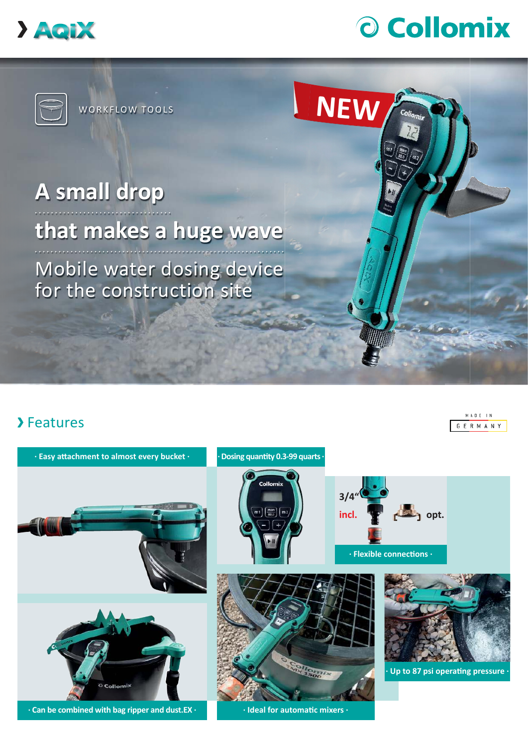

## O Collomix



WORKFLOW TOOLS

**A small drop** 

# **NEW that makes a huge wave** Mobile water dosing device for the construction site

### Features